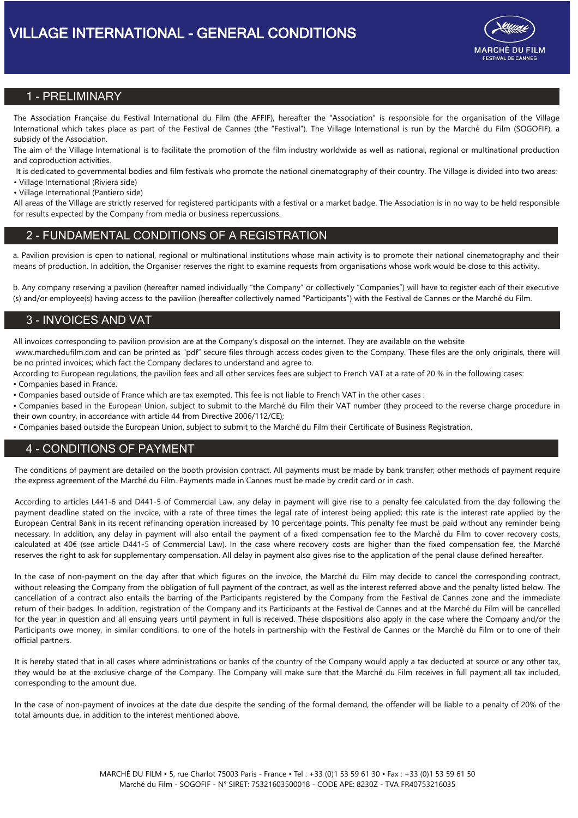

## 1 - PRELIMINARY

The Association Française du Festival International du Film (the AFFIF), hereafter the "Association" is responsible for the organisation of the Village International which takes place as part of the Festival de Cannes (the "Festival"). The Village International is run by the Marché du Film (SOGOFIF), a subsidy of the Association.

The aim of the Village International is to facilitate the promotion of the film industry worldwide as well as national, regional or multinational production and coproduction activities.

It is dedicated to governmental bodies and film festivals who promote the national cinematography of their country. The Village is divided into two areas:

• Village International (Riviera side)

• Village International (Pantiero side)

All areas of the Village are strictly reserved for registered participants with a festival or a market badge. The Association is in no way to be held responsible for results expected by the Company from media or business repercussions.

## 2 - FUNDAMENTAL CONDITIONS OF A REGISTRATION

a. Pavilion provision is open to national, regional or multinational institutions whose main activity is to promote their national cinematography and their means of production. In addition, the Organiser reserves the right to examine requests from organisations whose work would be close to this activity.

b. Any company reserving a pavilion (hereafter named individually "the Company" or collectively "Companies") will have to register each of their executive (s) and/or employee(s) having access to the pavilion (hereafter collectively named "Participants") with the Festival de Cannes or the Marché du Film.

## 3 - INVOICES AND VAT

All invoices corresponding to pavilion provision are at the Company's disposal on the internet. They are available on the website www.marchedufilm.com and can be printed as "pdf" secure files through access codes given to the Company. These files are the only originals, there will

be no printed invoices; which fact the Company declares to understand and agree to.

According to European regulations, the pavilion fees and all other services fees are subject to French VAT at a rate of 20 % in the following cases:

• Companies based in France.

• Companies based outside of France which are tax exempted. This fee is not liable to French VAT in the other cases :

• Companies based in the European Union, subject to submit to the Marché du Film their VAT number (they proceed to the reverse charge procedure in their own country, in accordance with article 44 from Directive 2006/112/CE);

• Companies based outside the European Union, subject to submit to the Marché du Film their Certificate of Business Registration.

## 4 - CONDITIONS OF PAYMENT

The conditions of payment are detailed on the booth provision contract. All payments must be made by bank transfer; other methods of payment require the express agreement of the Marché du Film. Payments made in Cannes must be made by credit card or in cash.

According to articles L441-6 and D441-5 of Commercial Law, any delay in payment will give rise to a penalty fee calculated from the day following the payment deadline stated on the invoice, with a rate of three times the legal rate of interest being applied; this rate is the interest rate applied by the European Central Bank in its recent refinancing operation increased by 10 percentage points. This penalty fee must be paid without any reminder being necessary. In addition, any delay in payment will also entail the payment of a fixed compensation fee to the Marché du Film to cover recovery costs, calculated at 40€ (see article D441-5 of Commercial Law). In the case where recovery costs are higher than the fixed compensation fee, the Marché reserves the right to ask for supplementary compensation. All delay in payment also gives rise to the application of the penal clause defined hereafter.

In the case of non-payment on the day after that which figures on the invoice, the Marché du Film may decide to cancel the corresponding contract, without releasing the Company from the obligation of full payment of the contract, as well as the interest referred above and the penalty listed below. The cancellation of a contract also entails the barring of the Participants registered by the Company from the Festival de Cannes zone and the immediate return of their badges. In addition, registration of the Company and its Participants at the Festival de Cannes and at the Marché du Film will be cancelled for the year in question and all ensuing years until payment in full is received. These dispositions also apply in the case where the Company and/or the Participants owe money, in similar conditions, to one of the hotels in partnership with the Festival de Cannes or the Marché du Film or to one of their official partners.

It is hereby stated that in all cases where administrations or banks of the country of the Company would apply a tax deducted at source or any other tax, they would be at the exclusive charge of the Company. The Company will make sure that the Marché du Film receives in full payment all tax included, corresponding to the amount due.

In the case of non-payment of invoices at the date due despite the sending of the formal demand, the offender will be liable to a penalty of 20% of the total amounts due, in addition to the interest mentioned above.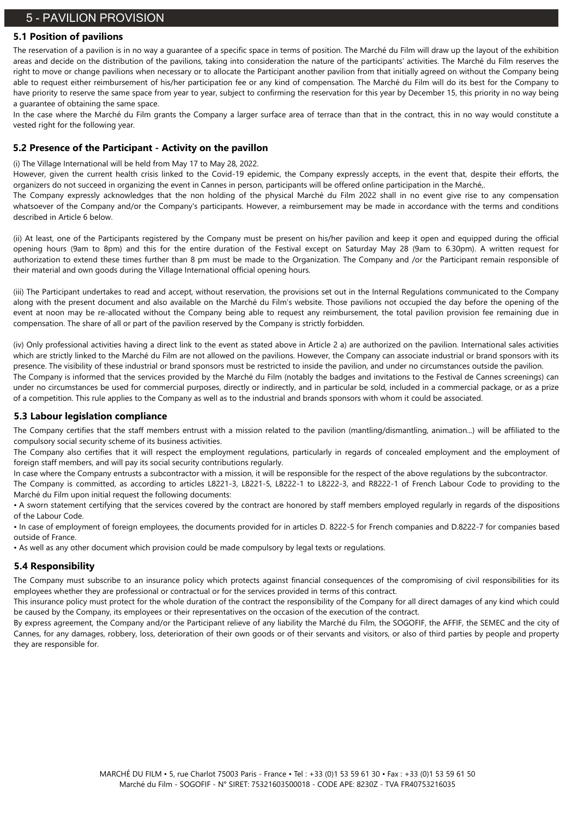# 5 - PAVILION PROVISION

#### **5.1 Position of pavilions**

The reservation of a pavilion is in no way a guarantee of a specific space in terms of position. The Marché du Film will draw up the layout of the exhibition areas and decide on the distribution of the pavilions, taking into consideration the nature of the participants' activities. The Marché du Film reserves the right to move or change pavilions when necessary or to allocate the Participant another pavilion from that initially agreed on without the Company being able to request either reimbursement of his/her participation fee or any kind of compensation. The Marché du Film will do its best for the Company to have priority to reserve the same space from year to year, subject to confirming the reservation for this year by December 15, this priority in no way being a guarantee of obtaining the same space.

In the case where the Marché du Film grants the Company a larger surface area of terrace than that in the contract, this in no way would constitute a vested right for the following year.

#### **5.2 Presence of the Participant - Activity on the pavillon**

(i) The Village International will be held from May 17 to May 28, 2022.

However, given the current health crisis linked to the Covid-19 epidemic, the Company expressly accepts, in the event that, despite their efforts, the organizers do not succeed in organizing the event in Cannes in person, participants will be offered online participation in the Marché,.

The Company expressly acknowledges that the non holding of the physical Marché du Film 2022 shall in no event give rise to any compensation whatsoever of the Company and/or the Company's participants. However, a reimbursement may be made in accordance with the terms and conditions described in Article 6 below.

(ii) At least, one of the Participants registered by the Company must be present on his/her pavilion and keep it open and equipped during the official opening hours (9am to 8pm) and this for the entire duration of the Festival except on Saturday May 28 (9am to 6.30pm). A written request for authorization to extend these times further than 8 pm must be made to the Organization. The Company and /or the Participant remain responsible of their material and own goods during the Village International official opening hours.

(iii) The Participant undertakes to read and accept, without reservation, the provisions set out in the Internal Regulations communicated to the Company along with the present document and also available on the Marché du Film's website. Those pavilions not occupied the day before the opening of the event at noon may be re-allocated without the Company being able to request any reimbursement, the total pavilion provision fee remaining due in compensation. The share of all or part of the pavilion reserved by the Company is strictly forbidden.

(iv) Only professional activities having a direct link to the event as stated above in Article 2 a) are authorized on the pavilion. International sales activities which are strictly linked to the Marché du Film are not allowed on the pavilions. However, the Company can associate industrial or brand sponsors with its presence. The visibility of these industrial or brand sponsors must be restricted to inside the pavilion, and under no circumstances outside the pavilion. The Company is informed that the services provided by the Marché du Film (notably the badges and invitations to the Festival de Cannes screenings) can under no circumstances be used for commercial purposes, directly or indirectly, and in particular be sold, included in a commercial package, or as a prize of a competition. This rule applies to the Company as well as to the industrial and brands sponsors with whom it could be associated.

### **5.3 Labour legislation compliance**

The Company certifies that the staff members entrust with a mission related to the pavilion (mantling/dismantling, animation...) will be affiliated to the compulsory social security scheme of its business activities.

The Company also certifies that it will respect the employment regulations, particularly in regards of concealed employment and the employment of foreign staff members, and will pay its social security contributions regularly.

In case where the Company entrusts a subcontractor with a mission, it will be responsible for the respect of the above regulations by the subcontractor. The Company is committed, as according to articles L8221-3, L8221-5, L8222-1 to L8222-3, and R8222-1 of French Labour Code to providing to the Marché du Film upon initial request the following documents:

• A sworn statement certifying that the services covered by the contract are honored by staff members employed regularly in regards of the dispositions of the Labour Code.

• In case of employment of foreign employees, the documents provided for in articles D. 8222-5 for French companies and D.8222-7 for companies based outside of France.

• As well as any other document which provision could be made compulsory by legal texts or regulations.

#### **5.4 Responsibility**

The Company must subscribe to an insurance policy which protects against financial consequences of the compromising of civil responsibilities for its employees whether they are professional or contractual or for the services provided in terms of this contract.

This insurance policy must protect for the whole duration of the contract the responsibility of the Company for all direct damages of any kind which could be caused by the Company, its employees or their representatives on the occasion of the execution of the contract.

By express agreement, the Company and/or the Participant relieve of any liability the Marché du Film, the SOGOFIF, the AFFIF, the SEMEC and the city of Cannes, for any damages, robbery, loss, deterioration of their own goods or of their servants and visitors, or also of third parties by people and property they are responsible for.